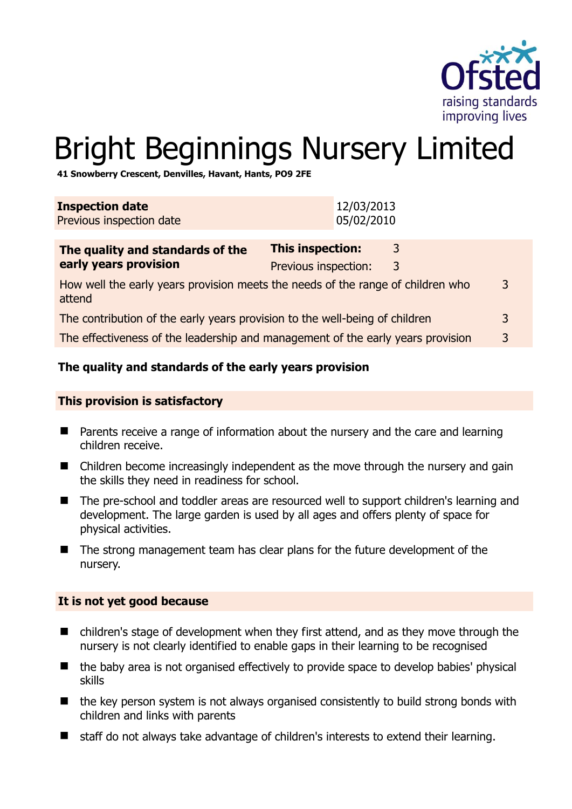

# Bright Beginnings Nursery Limited

**41 Snowberry Crescent, Denvilles, Havant, Hants, PO9 2FE** 

| <b>Inspection date</b><br>Previous inspection date                                             |                                                 | 12/03/2013<br>05/02/2010 |        |   |
|------------------------------------------------------------------------------------------------|-------------------------------------------------|--------------------------|--------|---|
| The quality and standards of the<br>early years provision                                      | <b>This inspection:</b><br>Previous inspection: |                          | 3<br>3 |   |
| How well the early years provision meets the needs of the range of children who<br>3<br>attend |                                                 |                          |        |   |
| The contribution of the early years provision to the well-being of children                    |                                                 |                          |        | 3 |
| The effectiveness of the leadership and management of the early years provision                |                                                 |                          |        | 3 |
|                                                                                                |                                                 |                          |        |   |

## **The quality and standards of the early years provision**

#### **This provision is satisfactory**

- **Parents receive a range of information about the nursery and the care and learning** children receive.
- Children become increasingly independent as the move through the nursery and gain the skills they need in readiness for school.
- The pre-school and toddler areas are resourced well to support children's learning and development. The large garden is used by all ages and offers plenty of space for physical activities.
- The strong management team has clear plans for the future development of the nursery.

#### **It is not yet good because**

- children's stage of development when they first attend, and as they move through the nursery is not clearly identified to enable gaps in their learning to be recognised
- the baby area is not organised effectively to provide space to develop babies' physical skills
- the key person system is not always organised consistently to build strong bonds with children and links with parents
- staff do not always take advantage of children's interests to extend their learning.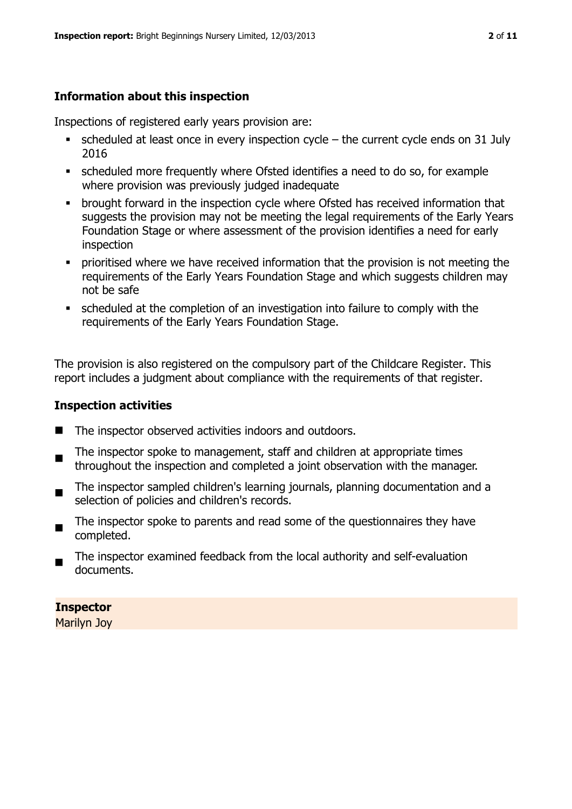# **Information about this inspection**

Inspections of registered early years provision are:

- $\bullet$  scheduled at least once in every inspection cycle the current cycle ends on 31 July 2016
- scheduled more frequently where Ofsted identifies a need to do so, for example where provision was previously judged inadequate
- **•** brought forward in the inspection cycle where Ofsted has received information that suggests the provision may not be meeting the legal requirements of the Early Years Foundation Stage or where assessment of the provision identifies a need for early inspection
- **•** prioritised where we have received information that the provision is not meeting the requirements of the Early Years Foundation Stage and which suggests children may not be safe
- scheduled at the completion of an investigation into failure to comply with the requirements of the Early Years Foundation Stage.

The provision is also registered on the compulsory part of the Childcare Register. This report includes a judgment about compliance with the requirements of that register.

#### **Inspection activities**

- The inspector observed activities indoors and outdoors.
- The inspector spoke to management, staff and children at appropriate times throughout the inspection and completed a joint observation with the manager.
- $\blacksquare$ The inspector sampled children's learning journals, planning documentation and a selection of policies and children's records.
- The inspector spoke to parents and read some of the questionnaires they have completed.
- The inspector examined feedback from the local authority and self-evaluation documents.

**Inspector** 

Marilyn Joy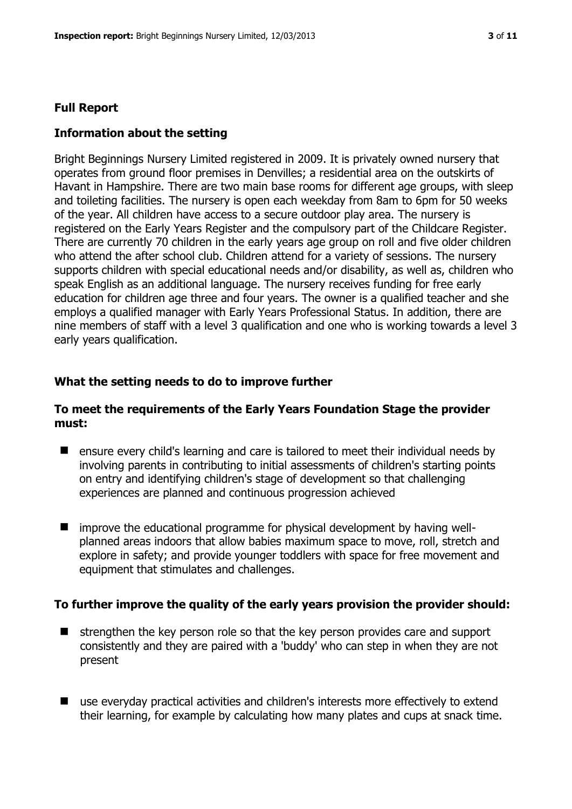#### **Full Report**

#### **Information about the setting**

Bright Beginnings Nursery Limited registered in 2009. It is privately owned nursery that operates from ground floor premises in Denvilles; a residential area on the outskirts of Havant in Hampshire. There are two main base rooms for different age groups, with sleep and toileting facilities. The nursery is open each weekday from 8am to 6pm for 50 weeks of the year. All children have access to a secure outdoor play area. The nursery is registered on the Early Years Register and the compulsory part of the Childcare Register. There are currently 70 children in the early years age group on roll and five older children who attend the after school club. Children attend for a variety of sessions. The nursery supports children with special educational needs and/or disability, as well as, children who speak English as an additional language. The nursery receives funding for free early education for children age three and four years. The owner is a qualified teacher and she employs a qualified manager with Early Years Professional Status. In addition, there are nine members of staff with a level 3 qualification and one who is working towards a level 3 early years qualification.

#### **What the setting needs to do to improve further**

#### **To meet the requirements of the Early Years Foundation Stage the provider must:**

- ensure every child's learning and care is tailored to meet their individual needs by involving parents in contributing to initial assessments of children's starting points on entry and identifying children's stage of development so that challenging experiences are planned and continuous progression achieved
- improve the educational programme for physical development by having wellplanned areas indoors that allow babies maximum space to move, roll, stretch and explore in safety; and provide younger toddlers with space for free movement and equipment that stimulates and challenges.

#### **To further improve the quality of the early years provision the provider should:**

- $\blacksquare$  strengthen the key person role so that the key person provides care and support consistently and they are paired with a 'buddy' who can step in when they are not present
- use everyday practical activities and children's interests more effectively to extend their learning, for example by calculating how many plates and cups at snack time.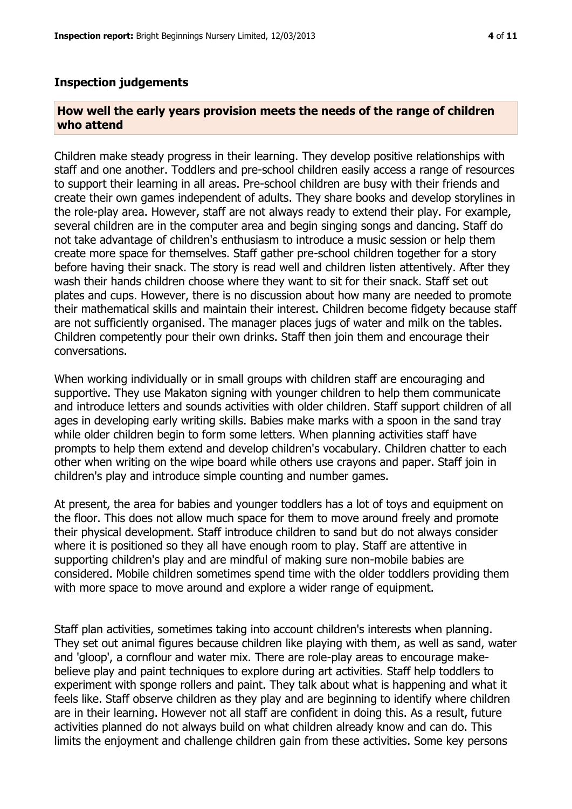#### **Inspection judgements**

#### **How well the early years provision meets the needs of the range of children who attend**

Children make steady progress in their learning. They develop positive relationships with staff and one another. Toddlers and pre-school children easily access a range of resources to support their learning in all areas. Pre-school children are busy with their friends and create their own games independent of adults. They share books and develop storylines in the role-play area. However, staff are not always ready to extend their play. For example, several children are in the computer area and begin singing songs and dancing. Staff do not take advantage of children's enthusiasm to introduce a music session or help them create more space for themselves. Staff gather pre-school children together for a story before having their snack. The story is read well and children listen attentively. After they wash their hands children choose where they want to sit for their snack. Staff set out plates and cups. However, there is no discussion about how many are needed to promote their mathematical skills and maintain their interest. Children become fidgety because staff are not sufficiently organised. The manager places jugs of water and milk on the tables. Children competently pour their own drinks. Staff then join them and encourage their conversations.

When working individually or in small groups with children staff are encouraging and supportive. They use Makaton signing with younger children to help them communicate and introduce letters and sounds activities with older children. Staff support children of all ages in developing early writing skills. Babies make marks with a spoon in the sand tray while older children begin to form some letters. When planning activities staff have prompts to help them extend and develop children's vocabulary. Children chatter to each other when writing on the wipe board while others use crayons and paper. Staff join in children's play and introduce simple counting and number games.

At present, the area for babies and younger toddlers has a lot of toys and equipment on the floor. This does not allow much space for them to move around freely and promote their physical development. Staff introduce children to sand but do not always consider where it is positioned so they all have enough room to play. Staff are attentive in supporting children's play and are mindful of making sure non-mobile babies are considered. Mobile children sometimes spend time with the older toddlers providing them with more space to move around and explore a wider range of equipment.

Staff plan activities, sometimes taking into account children's interests when planning. They set out animal figures because children like playing with them, as well as sand, water and 'gloop', a cornflour and water mix. There are role-play areas to encourage makebelieve play and paint techniques to explore during art activities. Staff help toddlers to experiment with sponge rollers and paint. They talk about what is happening and what it feels like. Staff observe children as they play and are beginning to identify where children are in their learning. However not all staff are confident in doing this. As a result, future activities planned do not always build on what children already know and can do. This limits the enjoyment and challenge children gain from these activities. Some key persons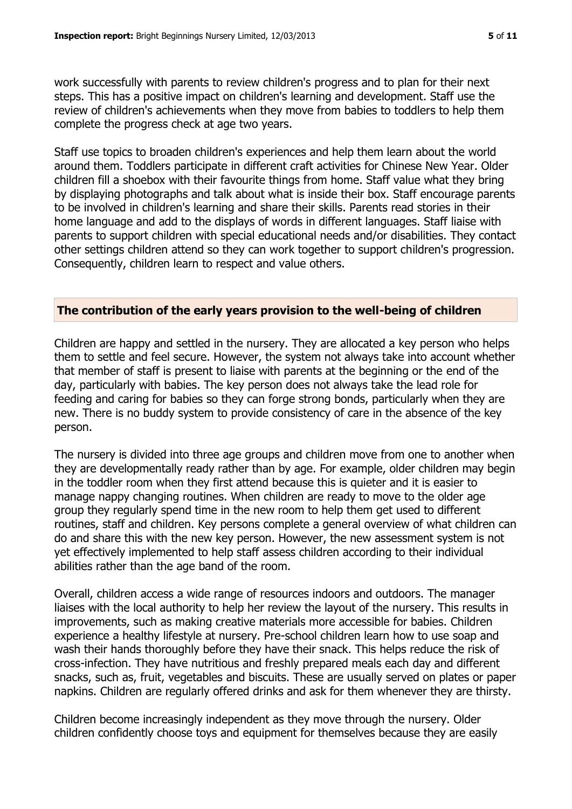work successfully with parents to review children's progress and to plan for their next steps. This has a positive impact on children's learning and development. Staff use the review of children's achievements when they move from babies to toddlers to help them complete the progress check at age two years.

Staff use topics to broaden children's experiences and help them learn about the world around them. Toddlers participate in different craft activities for Chinese New Year. Older children fill a shoebox with their favourite things from home. Staff value what they bring by displaying photographs and talk about what is inside their box. Staff encourage parents to be involved in children's learning and share their skills. Parents read stories in their home language and add to the displays of words in different languages. Staff liaise with parents to support children with special educational needs and/or disabilities. They contact other settings children attend so they can work together to support children's progression. Consequently, children learn to respect and value others.

#### **The contribution of the early years provision to the well-being of children**

Children are happy and settled in the nursery. They are allocated a key person who helps them to settle and feel secure. However, the system not always take into account whether that member of staff is present to liaise with parents at the beginning or the end of the day, particularly with babies. The key person does not always take the lead role for feeding and caring for babies so they can forge strong bonds, particularly when they are new. There is no buddy system to provide consistency of care in the absence of the key person.

The nursery is divided into three age groups and children move from one to another when they are developmentally ready rather than by age. For example, older children may begin in the toddler room when they first attend because this is quieter and it is easier to manage nappy changing routines. When children are ready to move to the older age group they regularly spend time in the new room to help them get used to different routines, staff and children. Key persons complete a general overview of what children can do and share this with the new key person. However, the new assessment system is not yet effectively implemented to help staff assess children according to their individual abilities rather than the age band of the room.

Overall, children access a wide range of resources indoors and outdoors. The manager liaises with the local authority to help her review the layout of the nursery. This results in improvements, such as making creative materials more accessible for babies. Children experience a healthy lifestyle at nursery. Pre-school children learn how to use soap and wash their hands thoroughly before they have their snack. This helps reduce the risk of cross-infection. They have nutritious and freshly prepared meals each day and different snacks, such as, fruit, vegetables and biscuits. These are usually served on plates or paper napkins. Children are regularly offered drinks and ask for them whenever they are thirsty.

Children become increasingly independent as they move through the nursery. Older children confidently choose toys and equipment for themselves because they are easily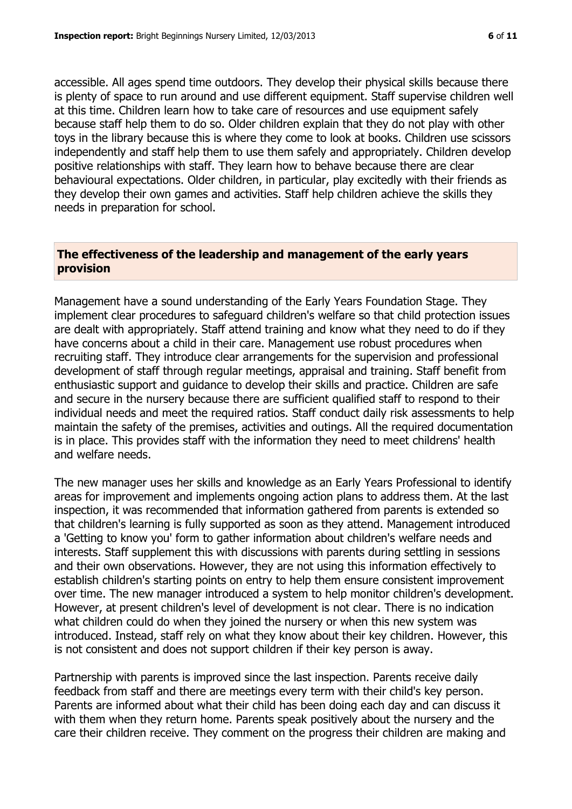accessible. All ages spend time outdoors. They develop their physical skills because there is plenty of space to run around and use different equipment. Staff supervise children well at this time. Children learn how to take care of resources and use equipment safely because staff help them to do so. Older children explain that they do not play with other toys in the library because this is where they come to look at books. Children use scissors independently and staff help them to use them safely and appropriately. Children develop positive relationships with staff. They learn how to behave because there are clear behavioural expectations. Older children, in particular, play excitedly with their friends as they develop their own games and activities. Staff help children achieve the skills they needs in preparation for school.

# **The effectiveness of the leadership and management of the early years provision**

Management have a sound understanding of the Early Years Foundation Stage. They implement clear procedures to safeguard children's welfare so that child protection issues are dealt with appropriately. Staff attend training and know what they need to do if they have concerns about a child in their care. Management use robust procedures when recruiting staff. They introduce clear arrangements for the supervision and professional development of staff through regular meetings, appraisal and training. Staff benefit from enthusiastic support and guidance to develop their skills and practice. Children are safe and secure in the nursery because there are sufficient qualified staff to respond to their individual needs and meet the required ratios. Staff conduct daily risk assessments to help maintain the safety of the premises, activities and outings. All the required documentation is in place. This provides staff with the information they need to meet childrens' health and welfare needs.

The new manager uses her skills and knowledge as an Early Years Professional to identify areas for improvement and implements ongoing action plans to address them. At the last inspection, it was recommended that information gathered from parents is extended so that children's learning is fully supported as soon as they attend. Management introduced a 'Getting to know you' form to gather information about children's welfare needs and interests. Staff supplement this with discussions with parents during settling in sessions and their own observations. However, they are not using this information effectively to establish children's starting points on entry to help them ensure consistent improvement over time. The new manager introduced a system to help monitor children's development. However, at present children's level of development is not clear. There is no indication what children could do when they joined the nursery or when this new system was introduced. Instead, staff rely on what they know about their key children. However, this is not consistent and does not support children if their key person is away.

Partnership with parents is improved since the last inspection. Parents receive daily feedback from staff and there are meetings every term with their child's key person. Parents are informed about what their child has been doing each day and can discuss it with them when they return home. Parents speak positively about the nursery and the care their children receive. They comment on the progress their children are making and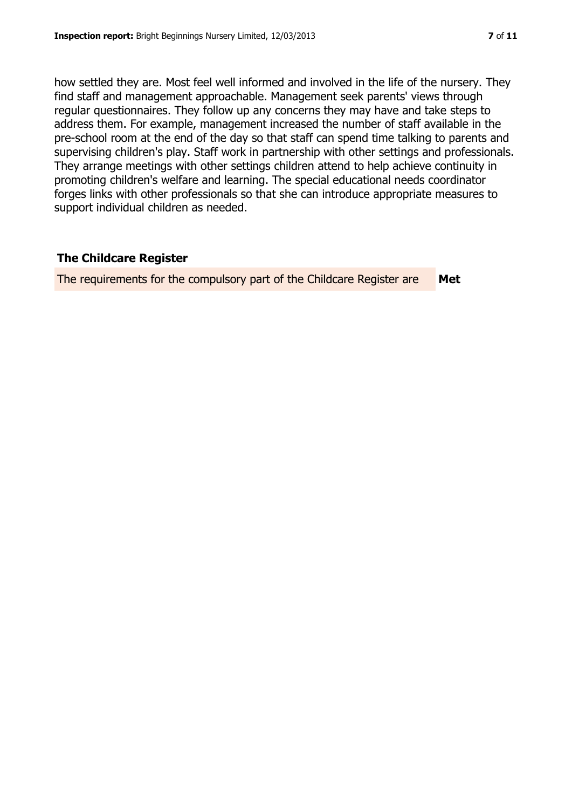how settled they are. Most feel well informed and involved in the life of the nursery. They find staff and management approachable. Management seek parents' views through regular questionnaires. They follow up any concerns they may have and take steps to address them. For example, management increased the number of staff available in the pre-school room at the end of the day so that staff can spend time talking to parents and supervising children's play. Staff work in partnership with other settings and professionals. They arrange meetings with other settings children attend to help achieve continuity in promoting children's welfare and learning. The special educational needs coordinator forges links with other professionals so that she can introduce appropriate measures to support individual children as needed.

## **The Childcare Register**

The requirements for the compulsory part of the Childcare Register are **Met**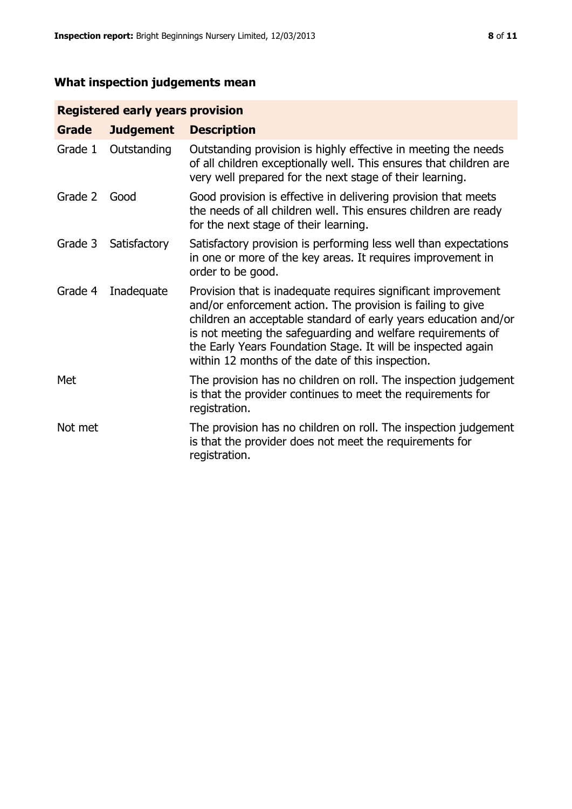# **What inspection judgements mean**

# **Registered early years provision**

| Grade   | <b>Judgement</b> | <b>Description</b>                                                                                                                                                                                                                                                                                                                                                                 |
|---------|------------------|------------------------------------------------------------------------------------------------------------------------------------------------------------------------------------------------------------------------------------------------------------------------------------------------------------------------------------------------------------------------------------|
| Grade 1 | Outstanding      | Outstanding provision is highly effective in meeting the needs<br>of all children exceptionally well. This ensures that children are<br>very well prepared for the next stage of their learning.                                                                                                                                                                                   |
| Grade 2 | Good             | Good provision is effective in delivering provision that meets<br>the needs of all children well. This ensures children are ready<br>for the next stage of their learning.                                                                                                                                                                                                         |
| Grade 3 | Satisfactory     | Satisfactory provision is performing less well than expectations<br>in one or more of the key areas. It requires improvement in<br>order to be good.                                                                                                                                                                                                                               |
| Grade 4 | Inadequate       | Provision that is inadequate requires significant improvement<br>and/or enforcement action. The provision is failing to give<br>children an acceptable standard of early years education and/or<br>is not meeting the safeguarding and welfare requirements of<br>the Early Years Foundation Stage. It will be inspected again<br>within 12 months of the date of this inspection. |
| Met     |                  | The provision has no children on roll. The inspection judgement<br>is that the provider continues to meet the requirements for<br>registration.                                                                                                                                                                                                                                    |
| Not met |                  | The provision has no children on roll. The inspection judgement<br>is that the provider does not meet the requirements for<br>registration.                                                                                                                                                                                                                                        |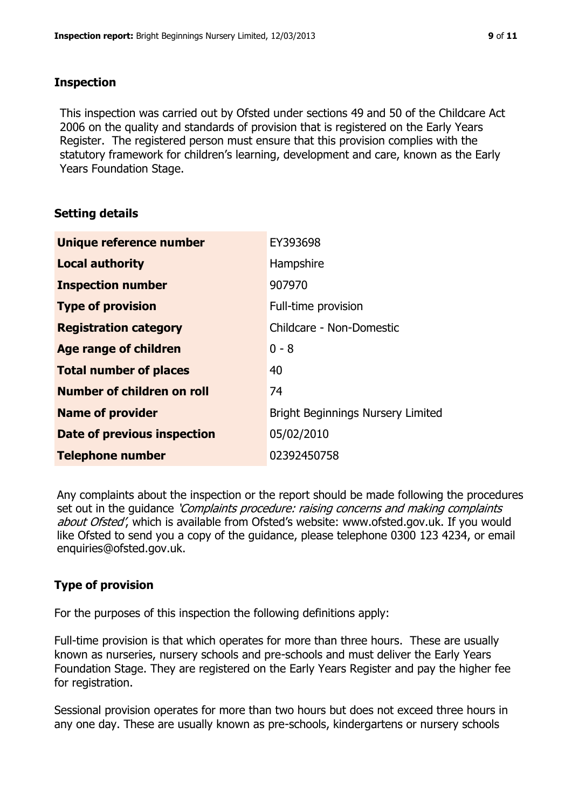## **Inspection**

This inspection was carried out by Ofsted under sections 49 and 50 of the Childcare Act 2006 on the quality and standards of provision that is registered on the Early Years Register. The registered person must ensure that this provision complies with the statutory framework for children's learning, development and care, known as the Early Years Foundation Stage.

# **Setting details**

| Unique reference number       | EY393698                                 |
|-------------------------------|------------------------------------------|
| <b>Local authority</b>        | Hampshire                                |
| <b>Inspection number</b>      | 907970                                   |
| <b>Type of provision</b>      | Full-time provision                      |
| <b>Registration category</b>  | Childcare - Non-Domestic                 |
| Age range of children         | $0 - 8$                                  |
| <b>Total number of places</b> | 40                                       |
| Number of children on roll    | 74                                       |
| <b>Name of provider</b>       | <b>Bright Beginnings Nursery Limited</b> |
| Date of previous inspection   | 05/02/2010                               |
| <b>Telephone number</b>       | 02392450758                              |

Any complaints about the inspection or the report should be made following the procedures set out in the guidance *'Complaints procedure: raising concerns and making complaints* about Ofsted', which is available from Ofsted's website: www.ofsted.gov.uk. If you would like Ofsted to send you a copy of the guidance, please telephone 0300 123 4234, or email enquiries@ofsted.gov.uk.

# **Type of provision**

For the purposes of this inspection the following definitions apply:

Full-time provision is that which operates for more than three hours. These are usually known as nurseries, nursery schools and pre-schools and must deliver the Early Years Foundation Stage. They are registered on the Early Years Register and pay the higher fee for registration.

Sessional provision operates for more than two hours but does not exceed three hours in any one day. These are usually known as pre-schools, kindergartens or nursery schools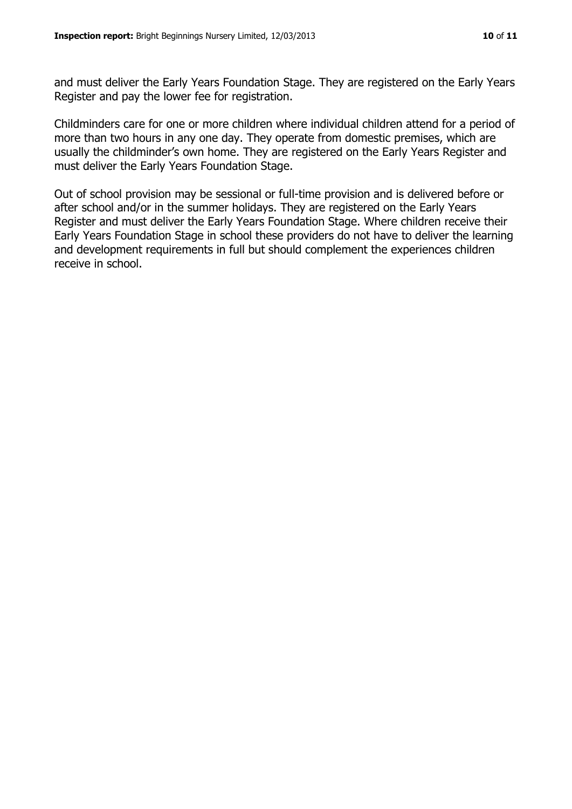and must deliver the Early Years Foundation Stage. They are registered on the Early Years Register and pay the lower fee for registration.

Childminders care for one or more children where individual children attend for a period of more than two hours in any one day. They operate from domestic premises, which are usually the childminder's own home. They are registered on the Early Years Register and must deliver the Early Years Foundation Stage.

Out of school provision may be sessional or full-time provision and is delivered before or after school and/or in the summer holidays. They are registered on the Early Years Register and must deliver the Early Years Foundation Stage. Where children receive their Early Years Foundation Stage in school these providers do not have to deliver the learning and development requirements in full but should complement the experiences children receive in school.